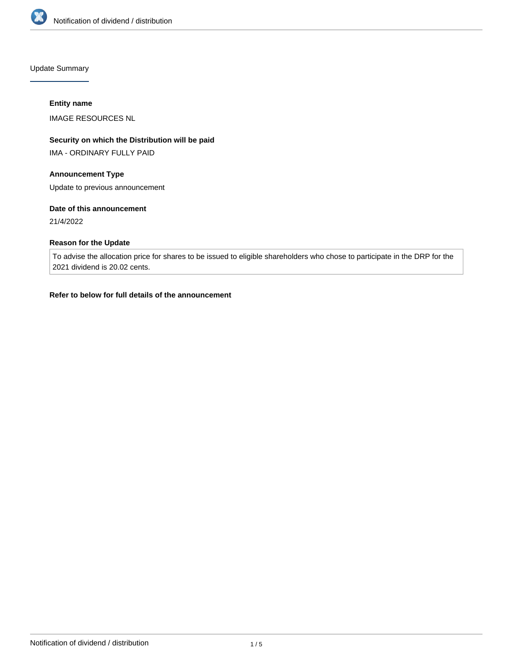

Update Summary

### **Entity name**

IMAGE RESOURCES NL

# **Security on which the Distribution will be paid**

IMA - ORDINARY FULLY PAID

# **Announcement Type**

Update to previous announcement

### **Date of this announcement**

21/4/2022

# **Reason for the Update**

To advise the allocation price for shares to be issued to eligible shareholders who chose to participate in the DRP for the 2021 dividend is 20.02 cents.

### **Refer to below for full details of the announcement**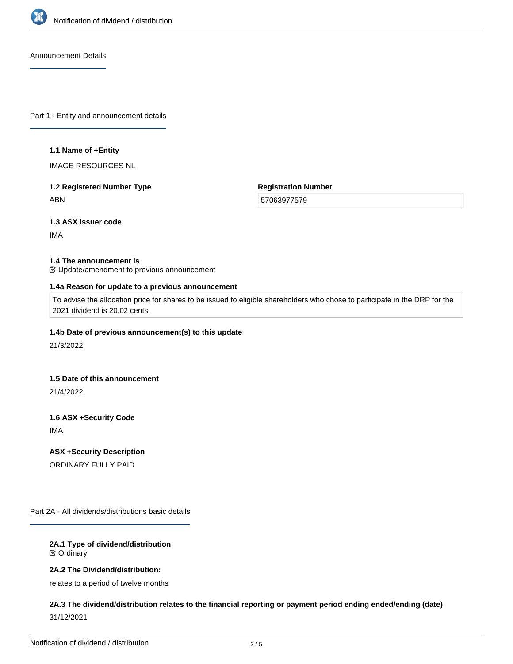

Announcement Details

Part 1 - Entity and announcement details

#### **1.1 Name of +Entity**

IMAGE RESOURCES NL

# **1.2 Registered Number Type** ABN

**Registration Number**

57063977579

**1.3 ASX issuer code**

IMA

#### **1.4 The announcement is**

Update/amendment to previous announcement

#### **1.4a Reason for update to a previous announcement**

To advise the allocation price for shares to be issued to eligible shareholders who chose to participate in the DRP for the 2021 dividend is 20.02 cents.

# **1.4b Date of previous announcement(s) to this update**

21/3/2022

#### **1.5 Date of this announcement**

21/4/2022

**1.6 ASX +Security Code**

IMA

### **ASX +Security Description**

ORDINARY FULLY PAID

Part 2A - All dividends/distributions basic details

### **2A.1 Type of dividend/distribution** Ordinary

### **2A.2 The Dividend/distribution:**

relates to a period of twelve months

# **2A.3 The dividend/distribution relates to the financial reporting or payment period ending ended/ending (date)** 31/12/2021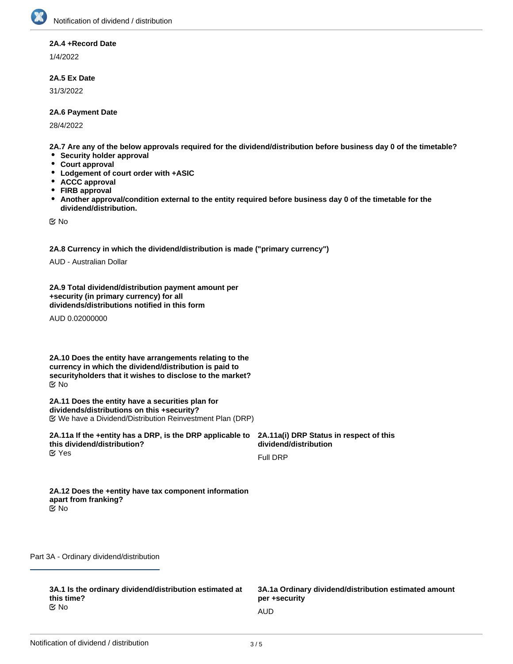### **2A.4 +Record Date**

1/4/2022

### **2A.5 Ex Date**

31/3/2022

#### **2A.6 Payment Date**

28/4/2022

**2A.7 Are any of the below approvals required for the dividend/distribution before business day 0 of the timetable?**

- **•** Security holder approval
- **Court approval**
- **Lodgement of court order with +ASIC**
- **ACCC approval**
- $\bullet$ **FIRB approval**
- **Another approval/condition external to the entity required before business day 0 of the timetable for the**  $\bullet$ **dividend/distribution.**

No

**2A.8 Currency in which the dividend/distribution is made ("primary currency")**

AUD - Australian Dollar

**2A.9 Total dividend/distribution payment amount per +security (in primary currency) for all dividends/distributions notified in this form**

AUD 0.02000000

**2A.10 Does the entity have arrangements relating to the currency in which the dividend/distribution is paid to securityholders that it wishes to disclose to the market?** No

**2A.11 Does the entity have a securities plan for dividends/distributions on this +security?** We have a Dividend/Distribution Reinvestment Plan (DRP)

**2A.11a If the +entity has a DRP, is the DRP applicable to this dividend/distribution? 2A.11a(i) DRP Status in respect of this dividend/distribution** Full DRP Yes

| 2A.12 Does the +entity have tax component information |
|-------------------------------------------------------|
| apart from franking?                                  |
| M No                                                  |

Part 3A - Ordinary dividend/distribution

**3A.1 Is the ordinary dividend/distribution estimated at this time?**<br>**<b>∉** No No and the contract of the contract of the contract of the contract of the contract of the contract of the contract of the contract of the contract of the contract of the contract of the contract of the contract of the con

**3A.1a Ordinary dividend/distribution estimated amount per +security**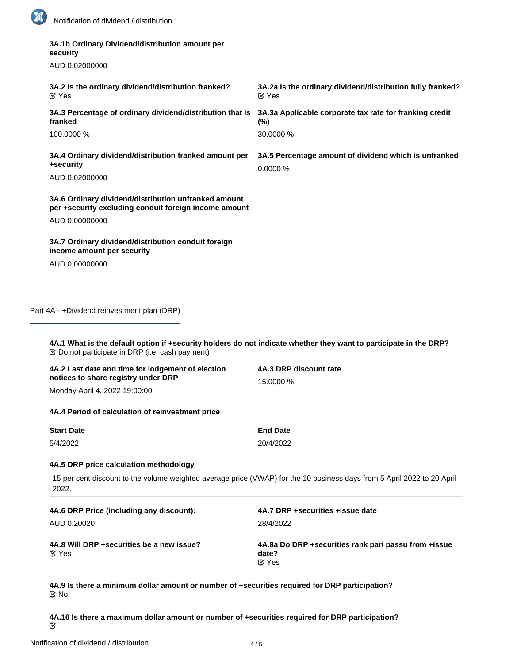| 3A.1b Ordinary Dividend/distribution amount per<br>security                                                   |                                                                                  |
|---------------------------------------------------------------------------------------------------------------|----------------------------------------------------------------------------------|
| AUD 0.02000000                                                                                                |                                                                                  |
| 3A.2 Is the ordinary dividend/distribution franked?<br>$\alpha$ Yes                                           | 3A.2a Is the ordinary dividend/distribution fully franked?<br>$\mathfrak{C}$ Yes |
| 3A.3 Percentage of ordinary dividend/distribution that is<br>franked                                          | 3A.3a Applicable corporate tax rate for franking credit<br>$(\%)$                |
| 100,0000 %                                                                                                    | 30,0000 %                                                                        |
| 3A.4 Ordinary dividend/distribution franked amount per<br>+security                                           | 3A.5 Percentage amount of dividend which is unfranked<br>0.0000%                 |
| AUD 0.02000000                                                                                                |                                                                                  |
| 3A.6 Ordinary dividend/distribution unfranked amount<br>per +security excluding conduit foreign income amount |                                                                                  |
| AUD 0.00000000                                                                                                |                                                                                  |
| 3A.7 Ordinary dividend/distribution conduit foreign<br>income amount per security                             |                                                                                  |
| AUD 0.00000000                                                                                                |                                                                                  |
|                                                                                                               |                                                                                  |

Part 4A - +Dividend reinvestment plan (DRP)

**4A.1 What is the default option if +security holders do not indicate whether they want to participate in the DRP?** Do not participate in DRP (i.e. cash payment)

| 4A.2 Last date and time for lodgement of election                | 4A.3 DRP discount rate                                                                                                  |  |
|------------------------------------------------------------------|-------------------------------------------------------------------------------------------------------------------------|--|
| notices to share registry under DRP                              | 15,0000 %                                                                                                               |  |
| Monday April 4, 2022 19:00:00                                    |                                                                                                                         |  |
| 4A.4 Period of calculation of reinvestment price                 |                                                                                                                         |  |
| <b>Start Date</b>                                                | <b>End Date</b>                                                                                                         |  |
| 5/4/2022                                                         | 20/4/2022                                                                                                               |  |
| 4A.5 DRP price calculation methodology                           |                                                                                                                         |  |
| 2022.                                                            | 15 per cent discount to the volume weighted average price (VWAP) for the 10 business days from 5 April 2022 to 20 April |  |
| 4A.6 DRP Price (including any discount):                         | 4A.7 DRP +securities +issue date                                                                                        |  |
| AUD 0.20020                                                      | 28/4/2022                                                                                                               |  |
| 4A.8 Will DRP + securities be a new issue?<br>$\mathfrak{C}$ Yes | 4A.8a Do DRP + securities rank pari passu from + issue<br>date?<br>$\alpha$ Yes                                         |  |

**4A.9 Is there a minimum dollar amount or number of +securities required for DRP participation?** No

**4A.10 Is there a maximum dollar amount or number of +securities required for DRP participation?**  $\mathbf{\tilde{c}}$